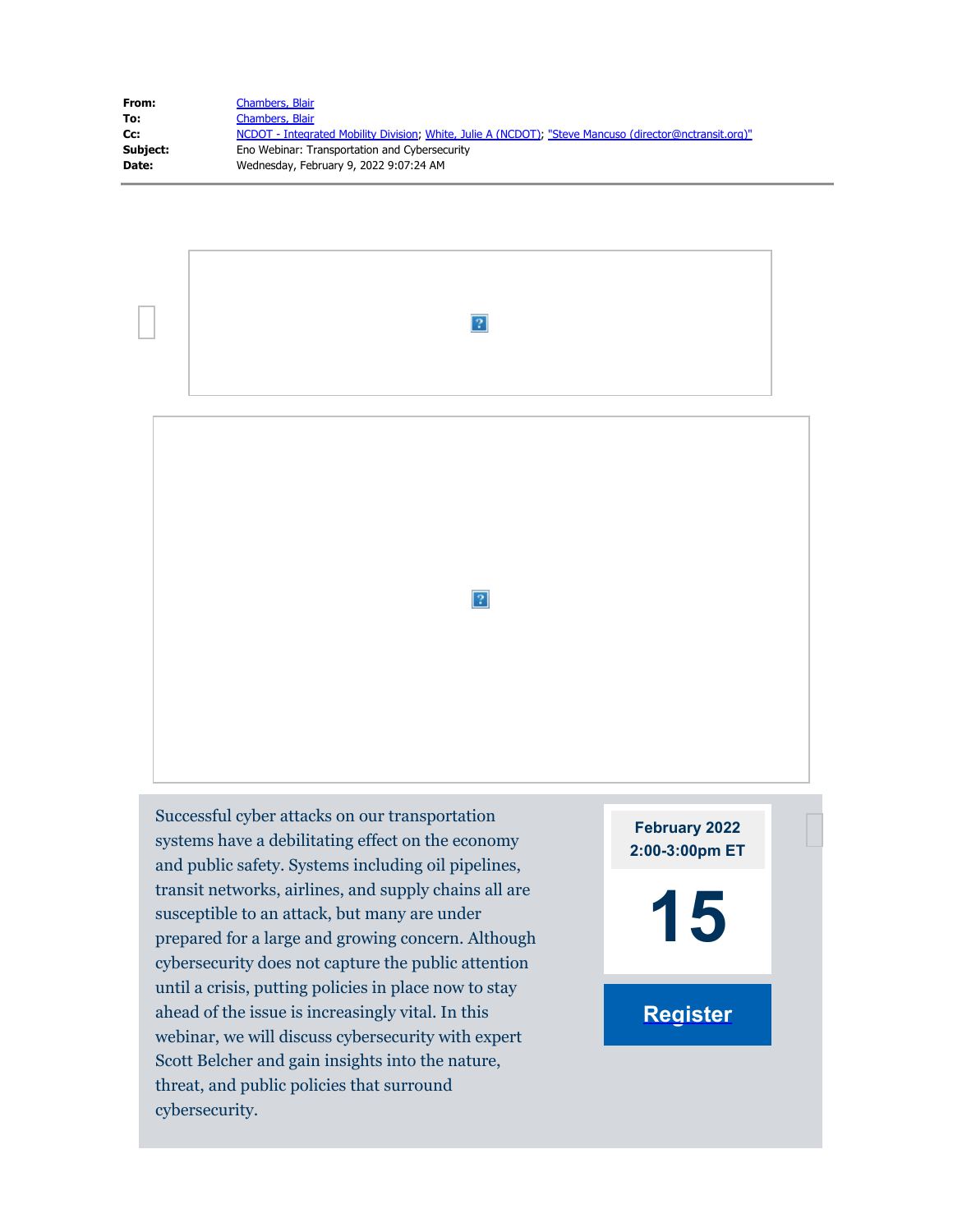| From:    | <b>Chambers, Blair</b>                                                                                 |
|----------|--------------------------------------------------------------------------------------------------------|
| To:      | Chambers, Blair                                                                                        |
| Cc:      | NCDOT - Integrated Mobility Division; White, Julie A (NCDOT); "Steve Mancuso (director@nctransit.org)" |
| Subject: | Eno Webinar: Transportation and Cybersecurity                                                          |
| Date:    | Wednesday, February 9, 2022 9:07:24 AM                                                                 |
|          |                                                                                                        |



 $\overline{?}$ 

Successful cyber attacks on our transportation systems have a debilitating effect on the economy and public safety. Systems including oil pipelines, transit networks, airlines, and supply chains all are susceptible to an attack, but many are under prepared for a large and growing concern. Although cybersecurity does not capture the public attention until a crisis, putting policies in place now to stay ahead of the issue is increasingly vital. In this webinar, we will discuss cybersecurity with expert Scott Belcher and gain insights into the nature, threat, and public policies that surround cybersecurity.